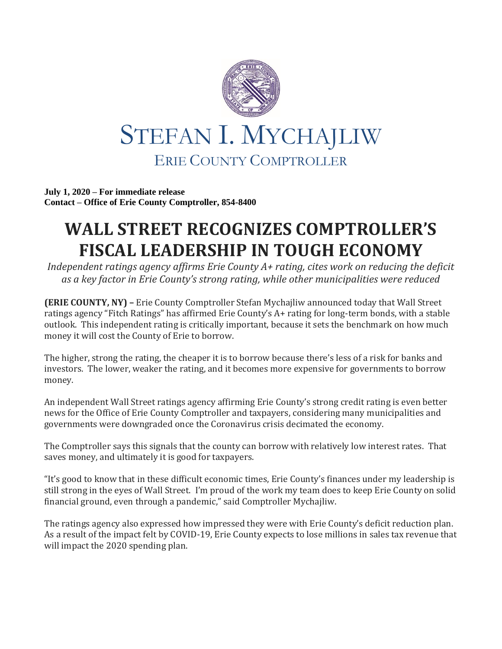

**July 1, 2020 – For immediate release Contact – Office of Erie County Comptroller, 854-8400**

## **WALL STREET RECOGNIZES COMPTROLLER'S FISCAL LEADERSHIP IN TOUGH ECONOMY**

*Independent ratings agency affirms Erie County A+ rating, cites work on reducing the deficit as a key factor in Erie County's strong rating, while other municipalities were reduced*

**(ERIE COUNTY, NY) –** Erie County Comptroller Stefan Mychajliw announced today that Wall Street ratings agency "Fitch Ratings" has affirmed Erie County's A+ rating for long-term bonds, with a stable outlook. This independent rating is critically important, because it sets the benchmark on how much money it will cost the County of Erie to borrow.

The higher, strong the rating, the cheaper it is to borrow because there's less of a risk for banks and investors. The lower, weaker the rating, and it becomes more expensive for governments to borrow money.

An independent Wall Street ratings agency affirming Erie County's strong credit rating is even better news for the Office of Erie County Comptroller and taxpayers, considering many municipalities and governments were downgraded once the Coronavirus crisis decimated the economy.

The Comptroller says this signals that the county can borrow with relatively low interest rates. That saves money, and ultimately it is good for taxpayers.

"It's good to know that in these difficult economic times, Erie County's finances under my leadership is still strong in the eyes of Wall Street. I'm proud of the work my team does to keep Erie County on solid financial ground, even through a pandemic," said Comptroller Mychajliw.

The ratings agency also expressed how impressed they were with Erie County's deficit reduction plan. As a result of the impact felt by COVID-19, Erie County expects to lose millions in sales tax revenue that will impact the 2020 spending plan.